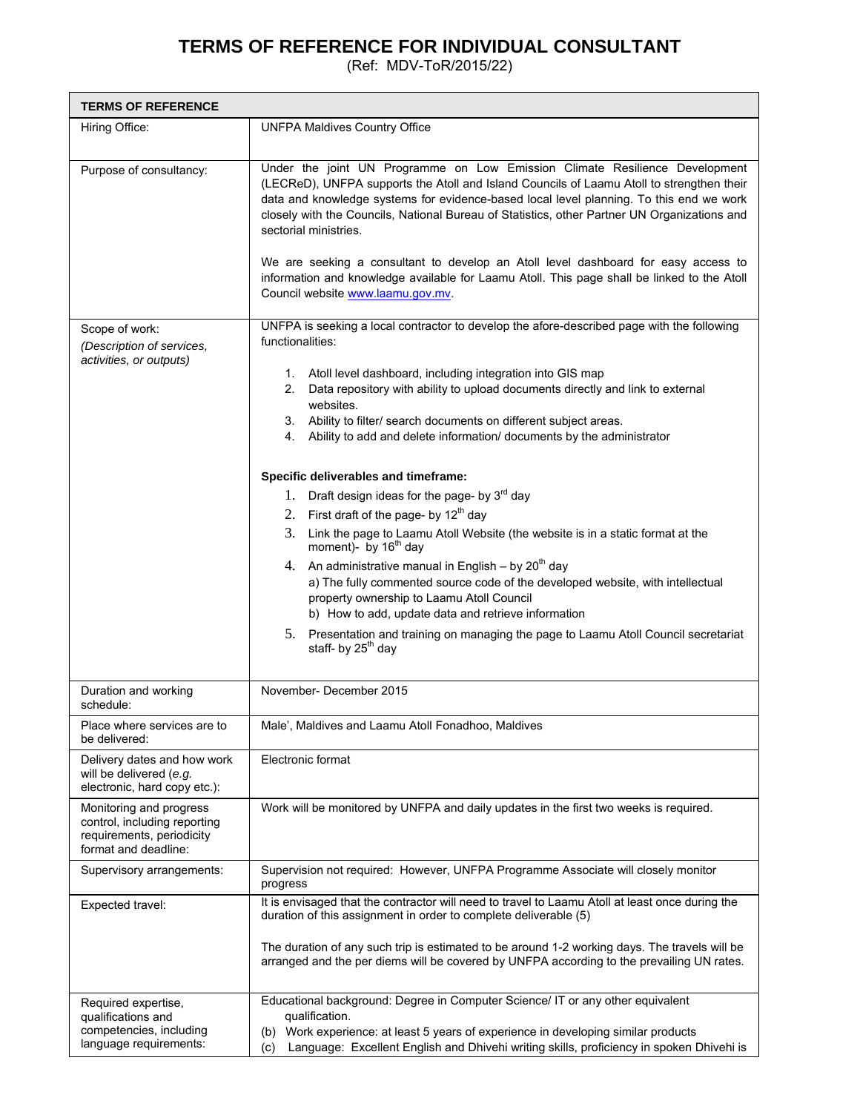## **TERMS OF REFERENCE FOR INDIVIDUAL CONSULTANT**

(Ref: MDV-ToR/2015/22)

| <b>TERMS OF REFERENCE</b>                                                                                    |                                                                                                                                                                                                                                                                                                                                                                                              |
|--------------------------------------------------------------------------------------------------------------|----------------------------------------------------------------------------------------------------------------------------------------------------------------------------------------------------------------------------------------------------------------------------------------------------------------------------------------------------------------------------------------------|
| Hiring Office:                                                                                               | <b>UNFPA Maldives Country Office</b>                                                                                                                                                                                                                                                                                                                                                         |
| Purpose of consultancy:                                                                                      | Under the joint UN Programme on Low Emission Climate Resilience Development<br>(LECReD), UNFPA supports the Atoll and Island Councils of Laamu Atoll to strengthen their<br>data and knowledge systems for evidence-based local level planning. To this end we work<br>closely with the Councils, National Bureau of Statistics, other Partner UN Organizations and<br>sectorial ministries. |
|                                                                                                              | We are seeking a consultant to develop an Atoll level dashboard for easy access to<br>information and knowledge available for Laamu Atoll. This page shall be linked to the Atoll<br>Council website www.laamu.gov.mv.                                                                                                                                                                       |
| Scope of work:<br>(Description of services,<br>activities, or outputs)                                       | UNFPA is seeking a local contractor to develop the afore-described page with the following<br>functionalities:                                                                                                                                                                                                                                                                               |
|                                                                                                              | 1. Atoll level dashboard, including integration into GIS map<br>Data repository with ability to upload documents directly and link to external<br>2.<br>websites.                                                                                                                                                                                                                            |
|                                                                                                              | 3. Ability to filter/ search documents on different subject areas.<br>Ability to add and delete information/ documents by the administrator<br>4.                                                                                                                                                                                                                                            |
|                                                                                                              | Specific deliverables and timeframe:                                                                                                                                                                                                                                                                                                                                                         |
|                                                                                                              | 1. Draft design ideas for the page- by $3^{rd}$ day                                                                                                                                                                                                                                                                                                                                          |
|                                                                                                              | 2. First draft of the page- by $12^{th}$ day                                                                                                                                                                                                                                                                                                                                                 |
|                                                                                                              | 3. Link the page to Laamu Atoll Website (the website is in a static format at the<br>moment)- by 16 <sup>th</sup> day                                                                                                                                                                                                                                                                        |
|                                                                                                              | 4. An administrative manual in English - by $20th$ day<br>a) The fully commented source code of the developed website, with intellectual<br>property ownership to Laamu Atoll Council<br>b) How to add, update data and retrieve information                                                                                                                                                 |
|                                                                                                              | 5. Presentation and training on managing the page to Laamu Atoll Council secretariat<br>staff- by 25 <sup>th</sup> day                                                                                                                                                                                                                                                                       |
| Duration and working<br>schedule:                                                                            | November-December 2015                                                                                                                                                                                                                                                                                                                                                                       |
| Place where services are to<br>be delivered:                                                                 | Male', Maldives and Laamu Atoll Fonadhoo, Maldives                                                                                                                                                                                                                                                                                                                                           |
| Delivery dates and how work<br>will be delivered (e.g.<br>electronic, hard copy etc.)                        | Electronic format                                                                                                                                                                                                                                                                                                                                                                            |
| Monitoring and progress<br>control, including reporting<br>requirements, periodicity<br>format and deadline: | Work will be monitored by UNFPA and daily updates in the first two weeks is required.                                                                                                                                                                                                                                                                                                        |
| Supervisory arrangements:                                                                                    | Supervision not required: However, UNFPA Programme Associate will closely monitor<br>progress                                                                                                                                                                                                                                                                                                |
| Expected travel:                                                                                             | It is envisaged that the contractor will need to travel to Laamu Atoll at least once during the<br>duration of this assignment in order to complete deliverable (5)                                                                                                                                                                                                                          |
|                                                                                                              | The duration of any such trip is estimated to be around 1-2 working days. The travels will be<br>arranged and the per diems will be covered by UNFPA according to the prevailing UN rates.                                                                                                                                                                                                   |
| Required expertise,<br>qualifications and                                                                    | Educational background: Degree in Computer Science/ IT or any other equivalent<br>qualification.                                                                                                                                                                                                                                                                                             |
| competencies, including<br>language requirements:                                                            | (b) Work experience: at least 5 years of experience in developing similar products<br>Language: Excellent English and Dhivehi writing skills, proficiency in spoken Dhivehi is<br>(c)                                                                                                                                                                                                        |